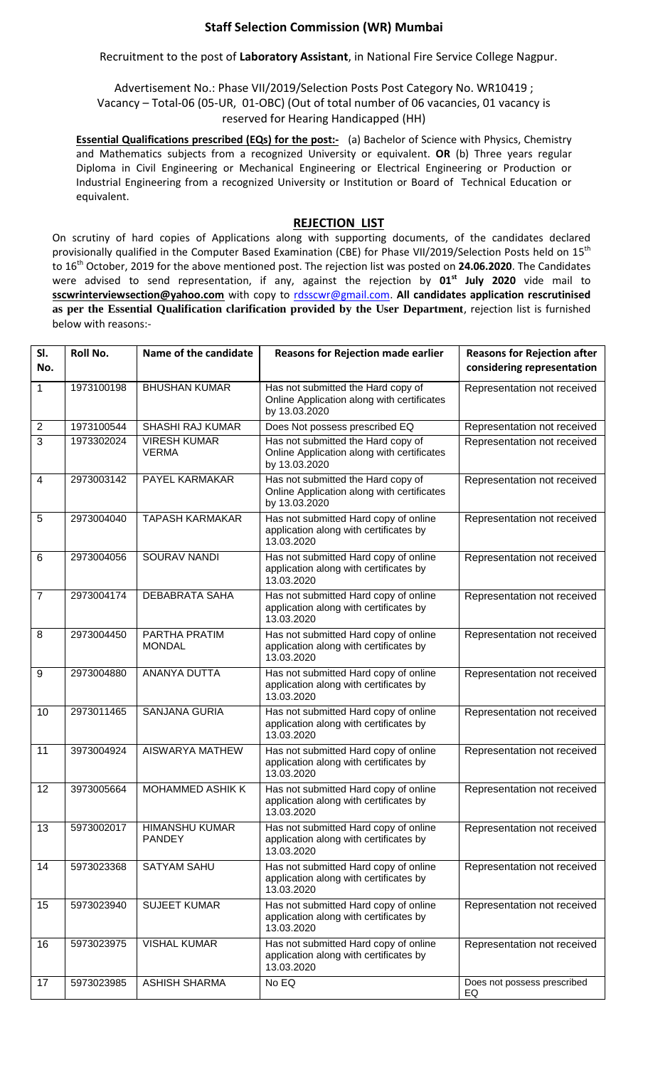## **Staff Selection Commission (WR) Mumbai**

Recruitment to the post of **Laboratory Assistant**, in National Fire Service College Nagpur.

Advertisement No.: Phase VII/2019/Selection Posts Post Category No. WR10419 ; Vacancy – Total-06 (05-UR, 01-OBC) (Out of total number of 06 vacancies, 01 vacancy is reserved for Hearing Handicapped (HH)

**Essential Qualifications prescribed (EQs) for the post:-** (a) Bachelor of Science with Physics, Chemistry and Mathematics subjects from a recognized University or equivalent. **OR** (b) Three years regular Diploma in Civil Engineering or Mechanical Engineering or Electrical Engineering or Production or Industrial Engineering from a recognized University or Institution or Board of Technical Education or equivalent.

## **REJECTION LIST**

On scrutiny of hard copies of Applications along with supporting documents, of the candidates declared provisionally qualified in the Computer Based Examination (CBE) for Phase VII/2019/Selection Posts held on 15<sup>th</sup> to 16th October, 2019 for the above mentioned post. The rejection list was posted on **24.06.2020**. The Candidates were advised to send representation, if any, against the rejection by 01<sup>st</sup> July 2020 vide mail to **sscwrinterviewsection@yahoo.com** with copy to [rdsscwr@gmail.com.](mailto:rdsscwr@gmail.com) **All candidates application rescrutinised as per the Essential Qualification clarification provided by the User Department**, rejection list is furnished below with reasons:-

| SI.<br>No.     | Roll No.   | Name of the candidate                  | <b>Reasons for Rejection made earlier</b>                                                         | <b>Reasons for Rejection after</b><br>considering representation |
|----------------|------------|----------------------------------------|---------------------------------------------------------------------------------------------------|------------------------------------------------------------------|
| 1              | 1973100198 | <b>BHUSHAN KUMAR</b>                   | Has not submitted the Hard copy of<br>Online Application along with certificates<br>by 13.03.2020 | Representation not received                                      |
| $\overline{2}$ | 1973100544 | <b>SHASHI RAJ KUMAR</b>                | Does Not possess prescribed EQ                                                                    | Representation not received                                      |
| 3              | 1973302024 | <b>VIRESH KUMAR</b><br><b>VERMA</b>    | Has not submitted the Hard copy of<br>Online Application along with certificates<br>by 13.03.2020 | Representation not received                                      |
| $\overline{4}$ | 2973003142 | PAYEL KARMAKAR                         | Has not submitted the Hard copy of<br>Online Application along with certificates<br>by 13.03.2020 | Representation not received                                      |
| 5              | 2973004040 | <b>TAPASH KARMAKAR</b>                 | Has not submitted Hard copy of online<br>application along with certificates by<br>13.03.2020     | Representation not received                                      |
| 6              | 2973004056 | SOURAV NANDI                           | Has not submitted Hard copy of online<br>application along with certificates by<br>13.03.2020     | Representation not received                                      |
| $\overline{7}$ | 2973004174 | <b>DEBABRATA SAHA</b>                  | Has not submitted Hard copy of online<br>application along with certificates by<br>13.03.2020     | Representation not received                                      |
| 8              | 2973004450 | PARTHA PRATIM<br><b>MONDAL</b>         | Has not submitted Hard copy of online<br>application along with certificates by<br>13.03.2020     | Representation not received                                      |
| 9              | 2973004880 | <b>ANANYA DUTTA</b>                    | Has not submitted Hard copy of online<br>application along with certificates by<br>13.03.2020     | Representation not received                                      |
| 10             | 2973011465 | <b>SANJANA GURIA</b>                   | Has not submitted Hard copy of online<br>application along with certificates by<br>13.03.2020     | Representation not received                                      |
| 11             | 3973004924 | AISWARYA MATHEW                        | Has not submitted Hard copy of online<br>application along with certificates by<br>13.03.2020     | Representation not received                                      |
| 12             | 3973005664 | <b>MOHAMMED ASHIK K</b>                | Has not submitted Hard copy of online<br>application along with certificates by<br>13.03.2020     | Representation not received                                      |
| 13             | 5973002017 | <b>HIMANSHU KUMAR</b><br><b>PANDEY</b> | Has not submitted Hard copy of online<br>application along with certificates by<br>13.03.2020     | Representation not received                                      |
| 14             | 5973023368 | <b>SATYAM SAHU</b>                     | Has not submitted Hard copy of online<br>application along with certificates by<br>13.03.2020     | Representation not received                                      |
| 15             | 5973023940 | <b>SUJEET KUMAR</b>                    | Has not submitted Hard copy of online<br>application along with certificates by<br>13.03.2020     | Representation not received                                      |
| 16             | 5973023975 | <b>VISHAL KUMAR</b>                    | Has not submitted Hard copy of online<br>application along with certificates by<br>13.03.2020     | Representation not received                                      |
| 17             | 5973023985 | <b>ASHISH SHARMA</b>                   | No EQ                                                                                             | Does not possess prescribed<br>EQ                                |